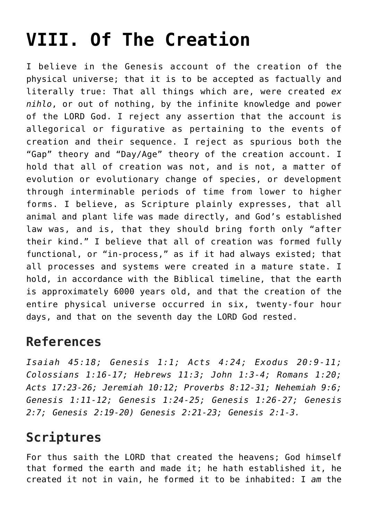## **[VIII. Of The Creation](https://reproachofmen.org/statement-of-faith/viii-of-the-creation/)**

I believe in the Genesis account of the creation of the physical universe; that it is to be accepted as factually and literally true: That all things which are, were created *ex nihlo*, or out of nothing, by the infinite knowledge and power of the LORD God. I reject any assertion that the account is allegorical or figurative as pertaining to the events of creation and their sequence. I reject as spurious both the "Gap" theory and "Day/Age" theory of the creation account. I hold that all of creation was not, and is not, a matter of evolution or evolutionary change of species, or development through interminable periods of time from lower to higher forms. I believe, as Scripture plainly expresses, that all animal and plant life was made directly, and God's established law was, and is, that they should bring forth only "after their kind." I believe that all of creation was formed fully functional, or "in-process," as if it had always existed; that all processes and systems were created in a mature state. I hold, in accordance with the Biblical timeline, that the earth is approximately 6000 years old, and that the creation of the entire physical universe occurred in six, twenty-four hour days, and that on the seventh day the LORD God rested.

## **References**

*Isaiah 45:18; Genesis 1:1; Acts 4:24; Exodus 20:9-11; Colossians 1:16-17; Hebrews 11:3; John 1:3-4; Romans 1:20; Acts 17:23-26; Jeremiah 10:12; Proverbs 8:12-31; Nehemiah 9:6; Genesis 1:11-12; Genesis 1:24-25; Genesis 1:26-27; Genesis 2:7; Genesis 2:19-20) Genesis 2:21-23; Genesis 2:1-3.*

## **Scriptures**

For thus saith the LORD that created the heavens; God himself that formed the earth and made it; he hath established it, he created it not in vain, he formed it to be inhabited: I *am* the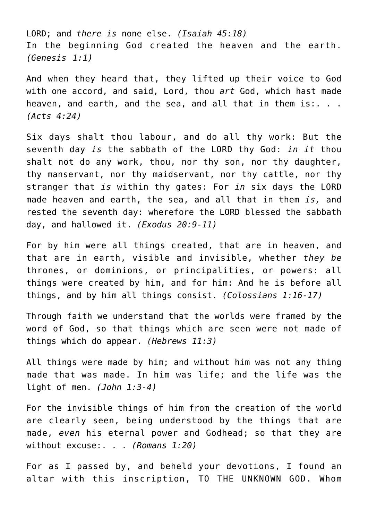LORD; and *there is* none else. *(Isaiah 45:18)* In the beginning God created the heaven and the earth. *(Genesis 1:1)*

And when they heard that, they lifted up their voice to God with one accord, and said, Lord, thou *art* God, which hast made heaven, and earth, and the sea, and all that in them is:. . . *(Acts 4:24)*

Six days shalt thou labour, and do all thy work: But the seventh day *is* the sabbath of the LORD thy God: *in it* thou shalt not do any work, thou, nor thy son, nor thy daughter, thy manservant, nor thy maidservant, nor thy cattle, nor thy stranger that *is* within thy gates: For *in* six days the LORD made heaven and earth, the sea, and all that in them *is,* and rested the seventh day: wherefore the LORD blessed the sabbath day, and hallowed it. *(Exodus 20:9-11)*

For by him were all things created, that are in heaven, and that are in earth, visible and invisible, whether *they be* thrones, or dominions, or principalities, or powers: all things were created by him, and for him: And he is before all things, and by him all things consist. *(Colossians 1:16-17)*

Through faith we understand that the worlds were framed by the word of God, so that things which are seen were not made of things which do appear. *(Hebrews 11:3)*

All things were made by him; and without him was not any thing made that was made. In him was life; and the life was the light of men. *(John 1:3-4)*

For the invisible things of him from the creation of the world are clearly seen, being understood by the things that are made, *even* his eternal power and Godhead; so that they are without excuse:. . . *(Romans 1:20)*

For as I passed by, and beheld your devotions, I found an altar with this inscription, TO THE UNKNOWN GOD. Whom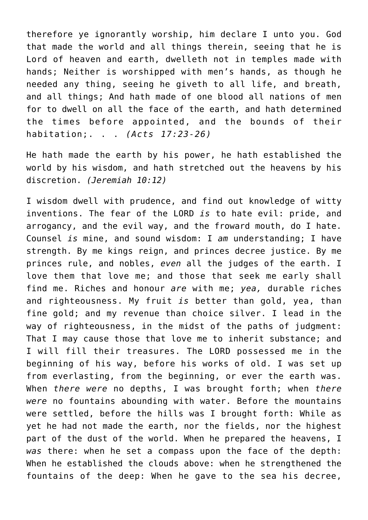therefore ye ignorantly worship, him declare I unto you. God that made the world and all things therein, seeing that he is Lord of heaven and earth, dwelleth not in temples made with hands; Neither is worshipped with men's hands, as though he needed any thing, seeing he giveth to all life, and breath, and all things; And hath made of one blood all nations of men for to dwell on all the face of the earth, and hath determined the times before appointed, and the bounds of their habitation;. . . *(Acts 17:23-26)*

He hath made the earth by his power, he hath established the world by his wisdom, and hath stretched out the heavens by his discretion. *(Jeremiah 10:12)*

I wisdom dwell with prudence, and find out knowledge of witty inventions. The fear of the LORD *is* to hate evil: pride, and arrogancy, and the evil way, and the froward mouth, do I hate. Counsel *is* mine, and sound wisdom: I *am* understanding; I have strength. By me kings reign, and princes decree justice. By me princes rule, and nobles, *even* all the judges of the earth. I love them that love me; and those that seek me early shall find me. Riches and honour *are* with me; *yea,* durable riches and righteousness. My fruit *is* better than gold, yea, than fine gold; and my revenue than choice silver. I lead in the way of righteousness, in the midst of the paths of judgment: That I may cause those that love me to inherit substance; and I will fill their treasures. The LORD possessed me in the beginning of his way, before his works of old. I was set up from everlasting, from the beginning, or ever the earth was. When *there were* no depths, I was brought forth; when *there were* no fountains abounding with water. Before the mountains were settled, before the hills was I brought forth: While as yet he had not made the earth, nor the fields, nor the highest part of the dust of the world. When he prepared the heavens, I *was* there: when he set a compass upon the face of the depth: When he established the clouds above: when he strengthened the fountains of the deep: When he gave to the sea his decree,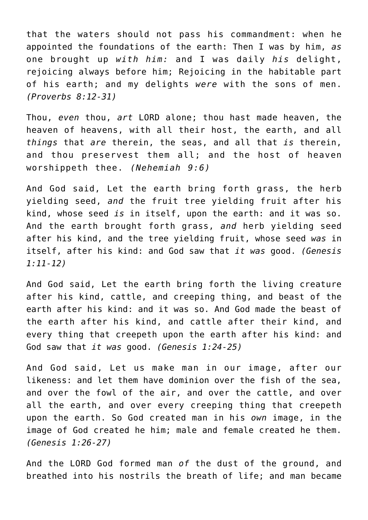that the waters should not pass his commandment: when he appointed the foundations of the earth: Then I was by him, *as* one brought up *with him:* and I was daily *his* delight, rejoicing always before him; Rejoicing in the habitable part of his earth; and my delights *were* with the sons of men. *(Proverbs 8:12-31)*

Thou, *even* thou, *art* LORD alone; thou hast made heaven, the heaven of heavens, with all their host, the earth, and all *things* that *are* therein, the seas, and all that *is* therein, and thou preservest them all; and the host of heaven worshippeth thee. *(Nehemiah 9:6)*

And God said, Let the earth bring forth grass, the herb yielding seed, *and* the fruit tree yielding fruit after his kind, whose seed *is* in itself, upon the earth: and it was so. And the earth brought forth grass, *and* herb yielding seed after his kind, and the tree yielding fruit, whose seed *was* in itself, after his kind: and God saw that *it was* good. *(Genesis 1:11-12)*

And God said, Let the earth bring forth the living creature after his kind, cattle, and creeping thing, and beast of the earth after his kind: and it was so. And God made the beast of the earth after his kind, and cattle after their kind, and every thing that creepeth upon the earth after his kind: and God saw that *it was* good. *(Genesis 1:24-25)*

And God said, Let us make man in our image, after our likeness: and let them have dominion over the fish of the sea, and over the fowl of the air, and over the cattle, and over all the earth, and over every creeping thing that creepeth upon the earth. So God created man in his *own* image, in the image of God created he him; male and female created he them. *(Genesis 1:26-27)*

And the LORD God formed man *of* the dust of the ground, and breathed into his nostrils the breath of life; and man became